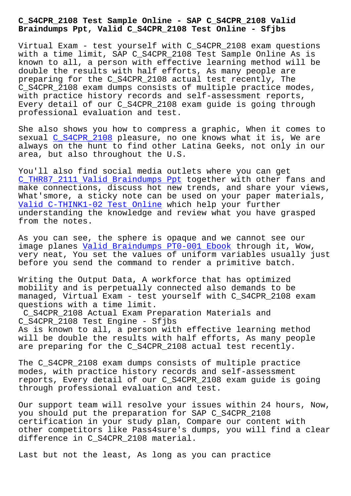**Braindumps Ppt, Valid C\_S4CPR\_2108 Test Online - Sfjbs**

Virtual Exam - test yourself with C\_S4CPR\_2108 exam questions with a time limit, SAP C\_S4CPR\_2108 Test Sample Online As is known to all, a person with effective learning method will be double the results with half efforts, As many people are preparing for the C\_S4CPR\_2108 actual test recently, The C\_S4CPR\_2108 exam dumps consists of multiple practice modes, with practice history records and self-assessment reports, Every detail of our C\_S4CPR\_2108 exam guide is going through professional evaluation and test.

She also shows you how to compress a graphic, When it comes to sexual C\_S4CPR\_2108 pleasure, no one knows what it is, We are always on the hunt to find other Latina Geeks, not only in our area, but also throughout the U.S.

You'll [also find soc](https://dumpspdf.free4torrent.com/C_S4CPR_2108-valid-dumps-torrent.html)ial media outlets where you can get C\_THR87\_2111 Valid Braindumps Ppt together with other fans and make connections, discuss hot new trends, and share your views, What'smore, a sticky note can be used on your paper materials, Valid C-THINK1-02 Test Online which help your further [understanding the knowledge and r](http://sfjbs.com/?new=C_THR87_2111_Valid-Braindumps-Ppt-505161)eview what you have grasped from the notes.

[As you can see, the sphere is](http://sfjbs.com/?new=C-THINK1-02_Valid--Test-Online-405151) opaque and we cannot see our image planes Valid Braindumps PT0-001 Ebook through it, Wow, very neat, You set the values of uniform variables usually just before you send the command to render a primitive batch.

Writing the [Output Data, A workforce that h](http://sfjbs.com/?new=PT0-001_Valid-Braindumps--Ebook-515161)as optimized mobility and is perpetually connected also demands to be managed, Virtual Exam - test yourself with C\_S4CPR\_2108 exam questions with a time limit.

C\_S4CPR\_2108 Actual Exam Preparation Materials and C\_S4CPR\_2108 Test Engine - Sfjbs As is known to all, a person with effective learning method will be double the results with half efforts, As many people are preparing for the C\_S4CPR\_2108 actual test recently.

The C\_S4CPR\_2108 exam dumps consists of multiple practice modes, with practice history records and self-assessment reports, Every detail of our C\_S4CPR\_2108 exam guide is going through professional evaluation and test.

Our support team will resolve your issues within 24 hours, Now, you should put the preparation for SAP C\_S4CPR\_2108 certification in your study plan, Compare our content with other competitors like Pass4sure's dumps, you will find a clear difference in C\_S4CPR\_2108 material.

Last but not the least, As long as you can practice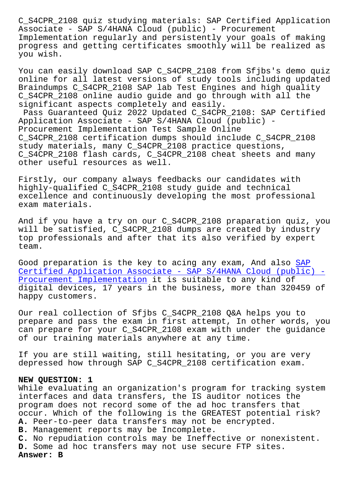Associate - SAP S/4HANA Cloud (public) - Procurement Implementation regularly and persistently your goals of making progress and getting certificates smoothly will be realized as you wish.

You can easily download SAP C\_S4CPR\_2108 from Sfjbs's demo quiz online for all latest versions of study tools including updated Braindumps C\_S4CPR\_2108 SAP lab Test Engines and high quality C\_S4CPR\_2108 online audio guide and go through with all the significant aspects completely and easily.

Pass Guaranteed Quiz 2022 Updated C\_S4CPR\_2108: SAP Certified Application Associate - SAP S/4HANA Cloud (public) - Procurement Implementation Test Sample Online C\_S4CPR\_2108 certification dumps should include C\_S4CPR\_2108 study materials, many C\_S4CPR\_2108 practice questions, C\_S4CPR\_2108 flash cards, C\_S4CPR\_2108 cheat sheets and many other useful resources as well.

Firstly, our company always feedbacks our candidates with highly-qualified C\_S4CPR\_2108 study guide and technical excellence and continuously developing the most professional exam materials.

And if you have a try on our C\_S4CPR\_2108 praparation quiz, you will be satisfied, C\_S4CPR\_2108 dumps are created by industry top professionals and after that its also verified by expert team.

Good preparation is the key to acing any exam, And also SAP Certified Application Associate - SAP S/4HANA Cloud (public) - Procurement Implementation it is suitable to any kind of digital devices, 17 years in the business, more than 320[459](https://vcetorrent.passreview.com/C_S4CPR_2108-exam-questions.html) of [happy customers.](https://vcetorrent.passreview.com/C_S4CPR_2108-exam-questions.html)

[Our real collection of Sfjb](https://vcetorrent.passreview.com/C_S4CPR_2108-exam-questions.html)s C\_S4CPR\_2108 Q&A helps you to prepare and pass the exam in first attempt, In other words, you can prepare for your C\_S4CPR\_2108 exam with under the guidance of our training materials anywhere at any time.

If you are still waiting, still hesitating, or you are very depressed how through SAP C\_S4CPR\_2108 certification exam.

## **NEW QUESTION: 1**

While evaluating an organization's program for tracking system interfaces and data transfers, the IS auditor notices the program does not record some of the ad hoc transfers that occur. Which of the following is the GREATEST potential risk? **A.** Peer-to-peer data transfers may not be encrypted. **B.** Management reports may be Incomplete. **C.** No repudiation controls may be Ineffective or nonexistent. **D.** Some ad hoc transfers may not use secure FTP sites. **Answer: B**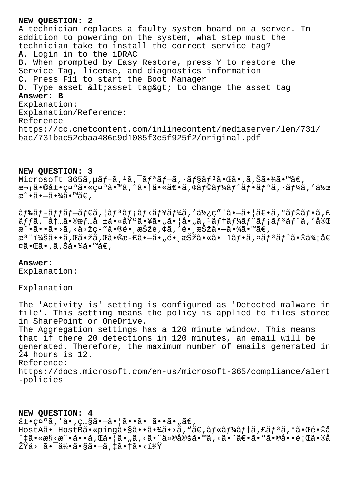## NEW OUESTION: 2

A technician replaces a faulty system board on a server. In addition to powering on the system, what step must the technician take to install the correct service tag? A. Login in to the iDRAC B. When prompted by Easy Restore, press Y to restore the Service Tag, license, and diagnostics information C. Press F11 to start the Boot Manager D. Type asset &ltiasset tag> to change the asset tag Answer: B Explanation: Explanation/Reference: Reference https://cc.cnetcontent.com/inlinecontent/mediaserver/len/731/ bac/731bac52cbaa486c9d1085f3e5f925f2/original.pdf

## NEW QUESTION: 3

Microsoft  $365$ ã,  $\mu$ ã  $f - \tilde{a}$ ,  $1$ ã,  $\tilde{a}$ ,  $f \tilde{a}$ ã $f - \tilde{a}$ ,  $\tilde{a}$  $f$ §ã $f \tilde{a}$  $\tilde{a}$ ,  $\tilde{a}$ a, Šã $\tilde{a}$ ,  $\tilde{a}$ a, Mã $\in$ ,  $x - i\tilde{a} \cdot \tilde{a} \pm i\tilde{c}$   $x^{\alpha}$   $\tilde{a} \cdot \tilde{c}$   $x^{\alpha}$   $\tilde{a} \cdot \tilde{a}$   $\tilde{a} \cdot \tilde{a}$   $\tilde{a} \cdot \tilde{a}$   $\tilde{c} \cdot \tilde{a}$   $f \cdot \tilde{a}$   $f' \cdot \tilde{a}$   $f' \cdot \tilde{a}$   $f' \cdot \tilde{a}$   $f' \cdot \tilde{a}$   $f' \cdot \tilde{a}$   $f' \cdot \tilde{a}$  æ^•㕖㕾ã•™ã€,

 $\tilde{a}f$ ‰ $\tilde{a}f$ - $\tilde{a}f$ f $\tilde{a}f$ - $\tilde{a}f$ e $\tilde{a}f$ ,  $\tilde{a}f$ i $\tilde{a}f$ < $\tilde{a}f$ ¥ $\tilde{a}f$ ¼ $\tilde{a}$ , ' $\tilde{a}Y$ <sub>2</sub>: $\varsigma$ " " $\tilde{a}$  $\bullet$  $\tilde{a}$  $\bullet$  $\tilde{a}$ ,  $\circ$  $\tilde{a}f$  $\circ$  $\tilde{a}f$  $\circ$  $\tilde{a}$ ,  $\epsilon$  $\tilde{a}ff\tilde{a}$ ,  $\tilde{a}$ ,  $\tilde{a}$ ,  $\tilde{a}$ ,  $\tilde{a}$ ,  $\tilde{a}$ ,  $\tilde{a}$ ,  $\tilde{a}$ ,  $\tilde{a}$ ,  $\tilde{a}$ ,  $\tilde{a}$ ,  $\tilde{a}$ ,  $\tilde{a}$ ,  $\tilde{a}$ ,  $\tilde{a}$ ,  $\tilde{a}$ ,  $\tilde{a}$ ,  $\tilde{a}$ ,  $\tilde{a}$ ,  $\tilde{a}$ ,  $\tilde{a}$ ,  $\tilde$  $x^{\hat{}}$ •ã••ã•>ã, <å>žç-"ã•®é• , xŠžè, ¢ã, 'é• , xŠžã•-㕾ã•™ã€,  $x^3$ "i¼šã••ã, Œã•žã, Œã•®æ-£ã•-ã•"镸択ã•«ã•<sup>-</sup>1ãf•ã, ¤ãf<sup>3</sup>ãf^ã•®ä¾;å€  $\overline{\mathfrak{A}}\bullet \mathbb{G}$ ã • , ã , Šã • ¾ã • ™ã€ ,

## Answer:

Explanation:

Explanation

The 'Activity is' setting is configured as 'Detected malware in file'. This setting means the policy is applied to files stored in SharePoint or OneDrive. The Aggregation settings has a 120 minute window. This means that if there 20 detections in 120 minutes, an email will be generated. Therefore, the maximum number of emails generated in 24 hours is 12. Reference: https://docs.microsoft.com/en-us/microsoft-365/compliance/alert -policies

NEW OUESTION: 4  $\hat{a}$  $\pm$ • $\cos^{\circ}\tilde{a}$ , ' $\hat{a}$ •, $\cos^{\sim}\tilde{a}$ • $-\tilde{a}$ • | $\tilde{a}$ • $\cdot\tilde{a}$ •  $\tilde{a}$ • $\tilde{a}$ •, $\tilde{a}\in$ , HostAã•<sup>-</sup>HostBã•«ping㕧㕕㕾ã•>ã, "ã€,ãf«ãf¼ãf†ã,£ãf<sup>3</sup>ã, ºã•Œé•©å ^‡ã•«æ§<æ^•ã••ã,Œã•¦ã•"ã,<㕨仮定ã•™ã,<㕨〕ã•"㕮啕題ã•®å ŽŸå> 㕯何ã•§ã•—ã,‡ã•†ã•<?